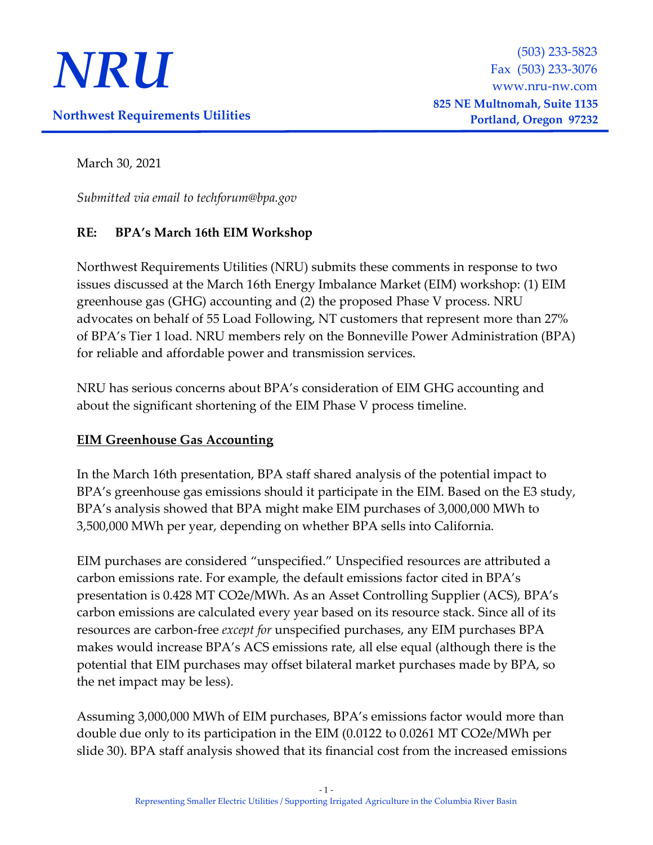

March 30, 2021

*Submitted via email to techforum@bpa.gov*

## **RE: BPA's March 16th EIM Workshop**

Northwest Requirements Utilities (NRU) submits these comments in response to two issues discussed at the March 16th Energy Imbalance Market (EIM) workshop: (1) EIM greenhouse gas (GHG) accounting and (2) the proposed Phase V process. NRU advocates on behalf of 55 Load Following, NT customers that represent more than 27% of BPA's Tier 1 load. NRU members rely on the Bonneville Power Administration (BPA) for reliable and affordable power and transmission services.

NRU has serious concerns about BPA's consideration of EIM GHG accounting and about the significant shortening of the EIM Phase V process timeline.

## **EIM Greenhouse Gas Accounting**

In the March 16th presentation, BPA staff shared analysis of the potential impact to BPA's greenhouse gas emissions should it participate in the EIM. Based on the E3 study, BPA's analysis showed that BPA might make EIM purchases of 3,000,000 MWh to 3,500,000 MWh per year, depending on whether BPA sells into California.

EIM purchases are considered "unspecified." Unspecified resources are attributed a carbon emissions rate. For example, the default emissions factor cited in BPA's presentation is 0.428 MT CO2e/MWh. As an Asset Controlling Supplier (ACS), BPA's carbon emissions are calculated every year based on its resource stack. Since all of its resources are carbon-free *except for* unspecified purchases, any EIM purchases BPA makes would increase BPA's ACS emissions rate, all else equal (although there is the potential that EIM purchases may offset bilateral market purchases made by BPA, so the net impact may be less).

Assuming 3,000,000 MWh of EIM purchases, BPA's emissions factor would more than double due only to its participation in the EIM (0.0122 to 0.0261 MT CO2e/MWh per slide 30). BPA staff analysis showed that its financial cost from the increased emissions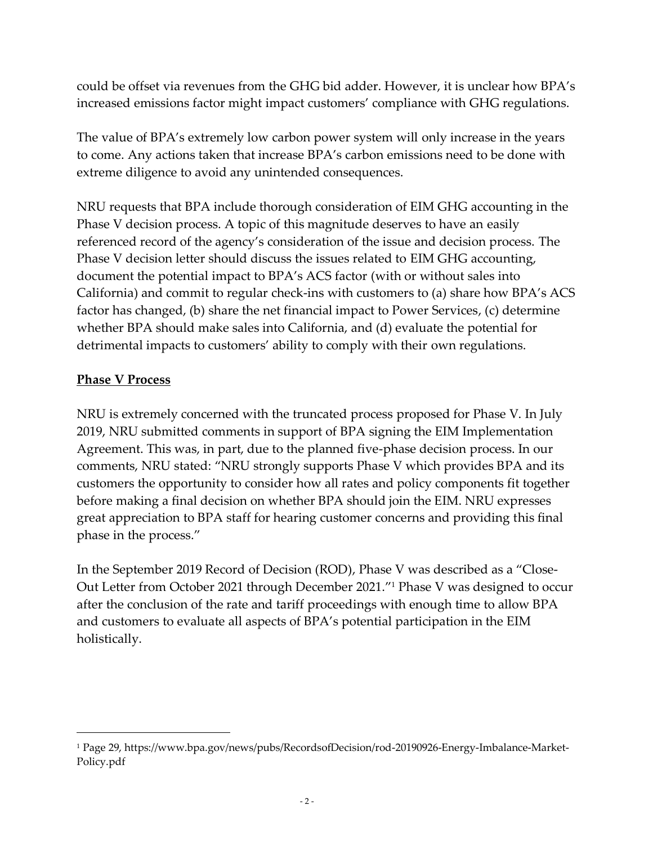could be offset via revenues from the GHG bid adder. However, it is unclear how BPA's increased emissions factor might impact customers' compliance with GHG regulations.

The value of BPA's extremely low carbon power system will only increase in the years to come. Any actions taken that increase BPA's carbon emissions need to be done with extreme diligence to avoid any unintended consequences.

NRU requests that BPA include thorough consideration of EIM GHG accounting in the Phase V decision process. A topic of this magnitude deserves to have an easily referenced record of the agency's consideration of the issue and decision process. The Phase V decision letter should discuss the issues related to EIM GHG accounting, document the potential impact to BPA's ACS factor (with or without sales into California) and commit to regular check-ins with customers to (a) share how BPA's ACS factor has changed, (b) share the net financial impact to Power Services, (c) determine whether BPA should make sales into California, and (d) evaluate the potential for detrimental impacts to customers' ability to comply with their own regulations.

## **Phase V Process**

NRU is extremely concerned with the truncated process proposed for Phase V. In July 2019, NRU submitted comments in support of BPA signing the EIM Implementation Agreement. This was, in part, due to the planned five-phase decision process. In our comments, NRU stated: "NRU strongly supports Phase V which provides BPA and its customers the opportunity to consider how all rates and policy components fit together before making a final decision on whether BPA should join the EIM. NRU expresses great appreciation to BPA staff for hearing customer concerns and providing this final phase in the process."

In the September 2019 Record of Decision (ROD), Phase V was described as a "Close-Out Letter from October 2021 through December 2021."<sup>1</sup> Phase V was designed to occur after the conclusion of the rate and tariff proceedings with enough time to allow BPA and customers to evaluate all aspects of BPA's potential participation in the EIM holistically.

<sup>1</sup> Page 29, https://www.bpa.gov/news/pubs/RecordsofDecision/rod-20190926-Energy-Imbalance-Market-Policy.pdf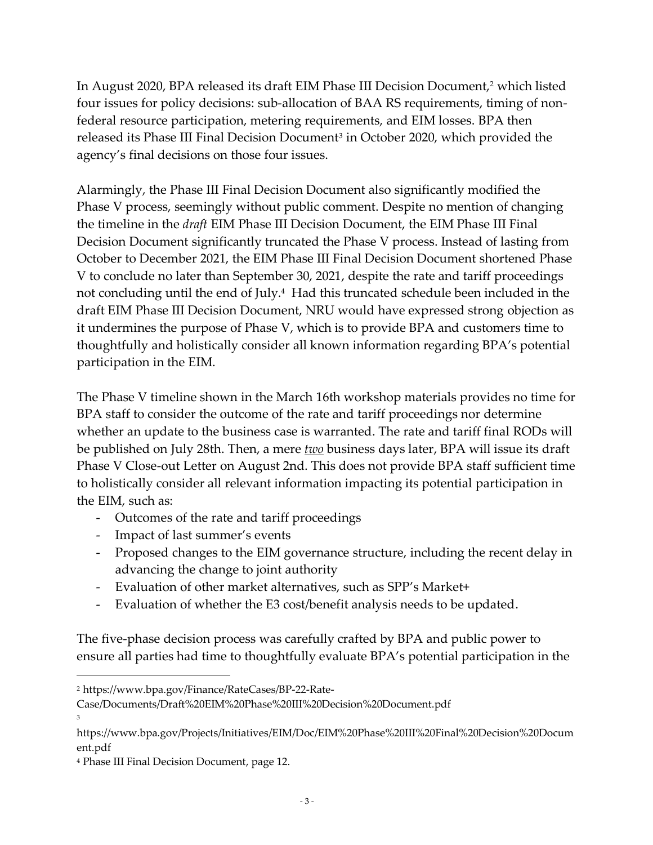In August 2020, BPA released its draft EIM Phase III Decision Document, <sup>2</sup> which listed four issues for policy decisions: sub-allocation of BAA RS requirements, timing of nonfederal resource participation, metering requirements, and EIM losses. BPA then released its Phase III Final Decision Document<sup>3</sup> in October 2020, which provided the agency's final decisions on those four issues.

Alarmingly, the Phase III Final Decision Document also significantly modified the Phase V process, seemingly without public comment. Despite no mention of changing the timeline in the *draft* EIM Phase III Decision Document, the EIM Phase III Final Decision Document significantly truncated the Phase V process. Instead of lasting from October to December 2021, the EIM Phase III Final Decision Document shortened Phase V to conclude no later than September 30, 2021, despite the rate and tariff proceedings not concluding until the end of July.<sup>4</sup> Had this truncated schedule been included in the draft EIM Phase III Decision Document, NRU would have expressed strong objection as it undermines the purpose of Phase V, which is to provide BPA and customers time to thoughtfully and holistically consider all known information regarding BPA's potential participation in the EIM.

The Phase V timeline shown in the March 16th workshop materials provides no time for BPA staff to consider the outcome of the rate and tariff proceedings nor determine whether an update to the business case is warranted. The rate and tariff final RODs will be published on July 28th. Then, a mere *two* business days later, BPA will issue its draft Phase V Close-out Letter on August 2nd. This does not provide BPA staff sufficient time to holistically consider all relevant information impacting its potential participation in the EIM, such as:

- Outcomes of the rate and tariff proceedings
- Impact of last summer's events
- Proposed changes to the EIM governance structure, including the recent delay in advancing the change to joint authority
- Evaluation of other market alternatives, such as SPP's Market+
- Evaluation of whether the E3 cost/benefit analysis needs to be updated.

The five-phase decision process was carefully crafted by BPA and public power to ensure all parties had time to thoughtfully evaluate BPA's potential participation in the

<sup>2</sup> https://www.bpa.gov/Finance/RateCases/BP-22-Rate-

Case/Documents/Draft%20EIM%20Phase%20III%20Decision%20Document.pdf 3

https://www.bpa.gov/Projects/Initiatives/EIM/Doc/EIM%20Phase%20III%20Final%20Decision%20Docum ent.pdf

<sup>4</sup> Phase III Final Decision Document, page 12.